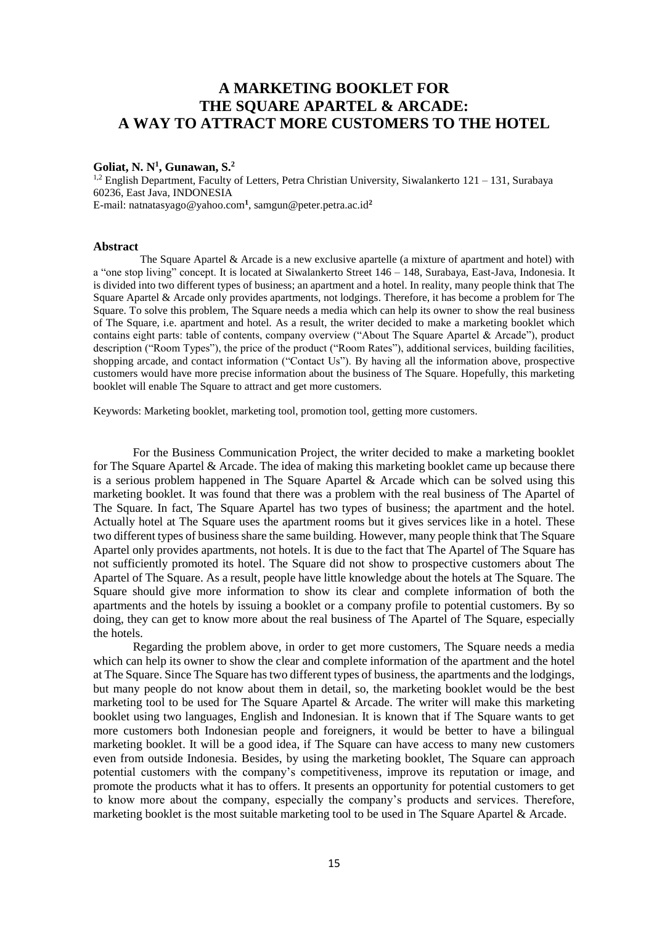# **A MARKETING BOOKLET FOR THE SQUARE APARTEL & ARCADE: A WAY TO ATTRACT MORE CUSTOMERS TO THE HOTEL**

# **Goliat, N. N<sup>1</sup> , Gunawan, S. 2**

 $1,2$  English Department, Faculty of Letters, Petra Christian University, Siwalankerto  $121 - 131$ , Surabaya 60236, East Java, INDONESIA E-mail: natnatasyago@yahoo.com**<sup>1</sup>** , samgun@peter.petra.ac.id**<sup>2</sup>**

### **Abstract**

The Square Apartel & Arcade is a new exclusive apartelle (a mixture of apartment and hotel) with a "one stop living" concept. It is located at Siwalankerto Street 146 – 148, Surabaya, East-Java, Indonesia. It is divided into two different types of business; an apartment and a hotel. In reality, many people think that The Square Apartel & Arcade only provides apartments, not lodgings. Therefore, it has become a problem for The Square. To solve this problem, The Square needs a media which can help its owner to show the real business of The Square, i.e. apartment and hotel. As a result, the writer decided to make a marketing booklet which contains eight parts: table of contents, company overview ("About The Square Apartel & Arcade"), product description ("Room Types"), the price of the product ("Room Rates"), additional services, building facilities, shopping arcade, and contact information ("Contact Us"). By having all the information above, prospective customers would have more precise information about the business of The Square. Hopefully, this marketing booklet will enable The Square to attract and get more customers.

Keywords: Marketing booklet, marketing tool, promotion tool, getting more customers.

For the Business Communication Project, the writer decided to make a marketing booklet for The Square Apartel & Arcade. The idea of making this marketing booklet came up because there is a serious problem happened in The Square Apartel  $\&$  Arcade which can be solved using this marketing booklet. It was found that there was a problem with the real business of The Apartel of The Square. In fact, The Square Apartel has two types of business; the apartment and the hotel. Actually hotel at The Square uses the apartment rooms but it gives services like in a hotel. These two different types of business share the same building. However, many people think that The Square Apartel only provides apartments, not hotels. It is due to the fact that The Apartel of The Square has not sufficiently promoted its hotel. The Square did not show to prospective customers about The Apartel of The Square. As a result, people have little knowledge about the hotels at The Square. The Square should give more information to show its clear and complete information of both the apartments and the hotels by issuing a booklet or a company profile to potential customers. By so doing, they can get to know more about the real business of The Apartel of The Square, especially the hotels.

Regarding the problem above, in order to get more customers, The Square needs a media which can help its owner to show the clear and complete information of the apartment and the hotel at The Square. Since The Square has two different types of business, the apartments and the lodgings, but many people do not know about them in detail, so, the marketing booklet would be the best marketing tool to be used for The Square Apartel & Arcade. The writer will make this marketing booklet using two languages, English and Indonesian. It is known that if The Square wants to get more customers both Indonesian people and foreigners, it would be better to have a bilingual marketing booklet. It will be a good idea, if The Square can have access to many new customers even from outside Indonesia. Besides, by using the marketing booklet, The Square can approach potential customers with the company's competitiveness, improve its reputation or image, and promote the products what it has to offers. It presents an opportunity for potential customers to get to know more about the company, especially the company's products and services. Therefore, marketing booklet is the most suitable marketing tool to be used in The Square Apartel & Arcade.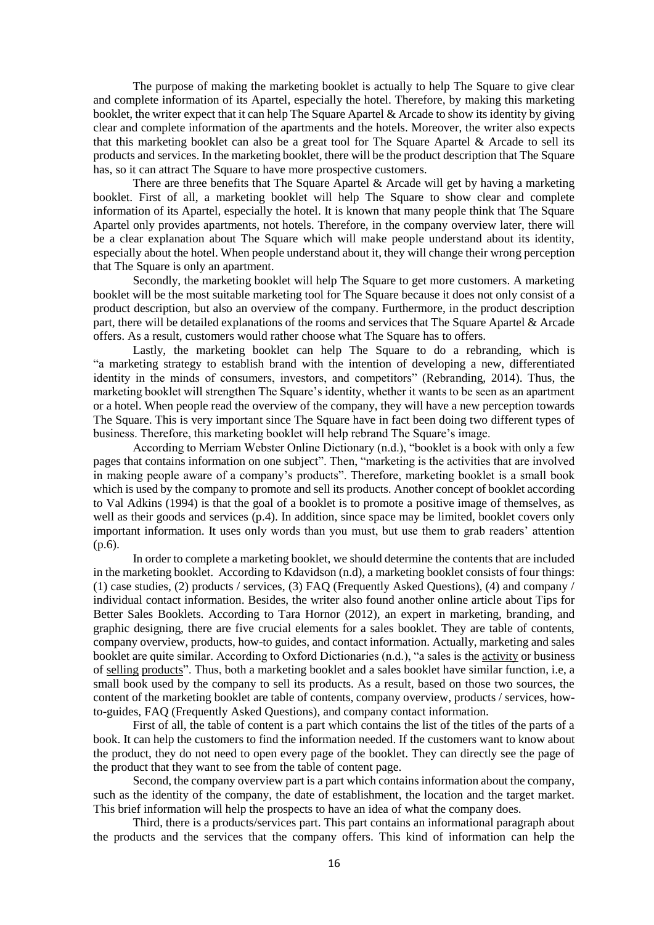The purpose of making the marketing booklet is actually to help The Square to give clear and complete information of its Apartel, especially the hotel. Therefore, by making this marketing booklet, the writer expect that it can help The Square Apartel & Arcade to show its identity by giving clear and complete information of the apartments and the hotels. Moreover, the writer also expects that this marketing booklet can also be a great tool for The Square Apartel & Arcade to sell its products and services. In the marketing booklet, there will be the product description that The Square has, so it can attract The Square to have more prospective customers.

There are three benefits that The Square Apartel  $\&$  Arcade will get by having a marketing booklet. First of all, a marketing booklet will help The Square to show clear and complete information of its Apartel, especially the hotel. It is known that many people think that The Square Apartel only provides apartments, not hotels. Therefore, in the company overview later, there will be a clear explanation about The Square which will make people understand about its identity, especially about the hotel. When people understand about it, they will change their wrong perception that The Square is only an apartment.

Secondly, the marketing booklet will help The Square to get more customers. A marketing booklet will be the most suitable marketing tool for The Square because it does not only consist of a product description, but also an overview of the company. Furthermore, in the product description part, there will be detailed explanations of the rooms and services that The Square Apartel & Arcade offers. As a result, customers would rather choose what The Square has to offers.

Lastly, the marketing booklet can help The Square to do a rebranding, which is "a marketing strategy to establish brand with the intention of developing a new, differentiated identity in the minds of consumers, investors, and competitors" (Rebranding, 2014). Thus, the marketing booklet will strengthen The Square's identity, whether it wants to be seen as an apartment or a hotel. When people read the overview of the company, they will have a new perception towards The Square. This is very important since The Square have in fact been doing two different types of business. Therefore, this marketing booklet will help rebrand The Square's image.

According to Merriam Webster Online Dictionary (n.d.), "booklet is a book with only a few pages that contains information on one subject". Then, "marketing is the activities that are involved in making people aware of a company's products". Therefore, marketing booklet is a small book which is used by the company to promote and sell its products. Another concept of booklet according to Val Adkins (1994) is that the goal of a booklet is to promote a positive image of themselves, as well as their goods and services (p.4). In addition, since space may be limited, booklet covers only important information. It uses only words than you must, but use them to grab readers' attention (p.6).

In order to complete a marketing booklet, we should determine the contents that are included in the marketing booklet. According to Kdavidson (n.d), a marketing booklet consists of four things: (1) case studies, (2) products / services, (3) FAQ (Frequently Asked Questions), (4) and company / individual contact information. Besides, the writer also found another online article about Tips for Better Sales Booklets. According to Tara Hornor (2012), an expert in marketing, branding, and graphic designing, there are five crucial elements for a sales booklet. They are table of contents, company overview, products, how-to guides, and contact information. Actually, marketing and sales booklet are quite similar. According to Oxford Dictionaries (n.d.), "a sales is the [activity](http://www.oxforddictionaries.com/definition/english/activity#activity__3) or business of [selling](http://www.oxforddictionaries.com/definition/english/sell#sell__4) [products"](http://www.oxforddictionaries.com/definition/english/product#product__3). Thus, both a marketing booklet and a sales booklet have similar function, i.e, a small book used by the company to sell its products. As a result, based on those two sources, the content of the marketing booklet are table of contents, company overview, products / services, howto-guides, FAQ (Frequently Asked Questions), and company contact information.

First of all, the table of content is a part which contains the list of the titles of the parts of a book. It can help the customers to find the information needed. If the customers want to know about the product, they do not need to open every page of the booklet. They can directly see the page of the product that they want to see from the table of content page.

Second, the company overview part is a part which contains information about the company, such as the identity of the company, the date of establishment, the location and the target market. This brief information will help the prospects to have an idea of what the company does.

Third, there is a products/services part. This part contains an informational paragraph about the products and the services that the company offers. This kind of information can help the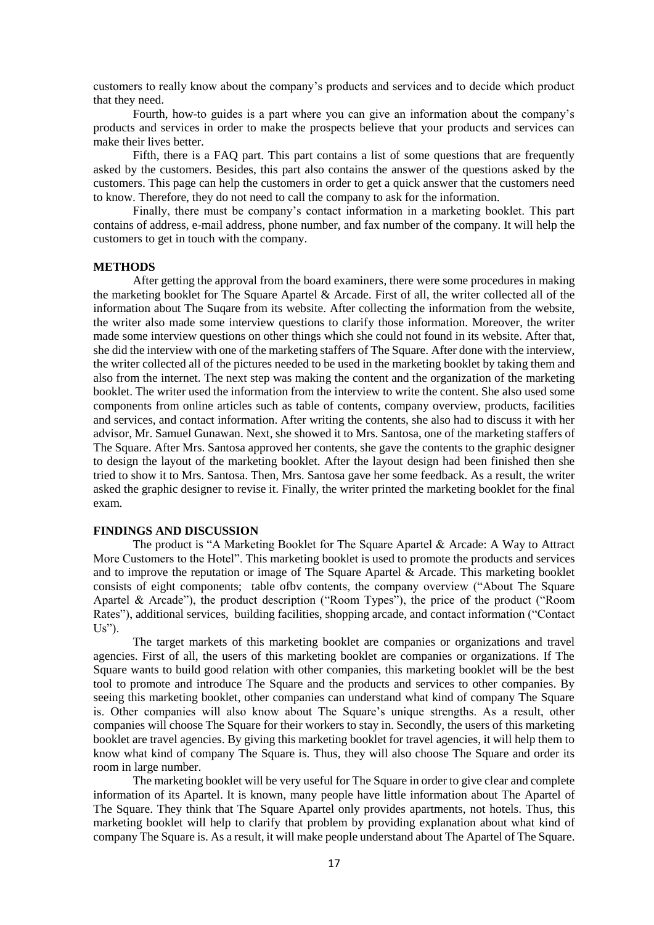customers to really know about the company's products and services and to decide which product that they need.

Fourth, how-to guides is a part where you can give an information about the company's products and services in order to make the prospects believe that your products and services can make their lives better.

Fifth, there is a FAQ part. This part contains a list of some questions that are frequently asked by the customers. Besides, this part also contains the answer of the questions asked by the customers. This page can help the customers in order to get a quick answer that the customers need to know. Therefore, they do not need to call the company to ask for the information.

Finally, there must be company's contact information in a marketing booklet. This part contains of address, e-mail address, phone number, and fax number of the company. It will help the customers to get in touch with the company.

## **METHODS**

After getting the approval from the board examiners, there were some procedures in making the marketing booklet for The Square Apartel & Arcade. First of all, the writer collected all of the information about The Suqare from its website. After collecting the information from the website, the writer also made some interview questions to clarify those information. Moreover, the writer made some interview questions on other things which she could not found in its website. After that, she did the interview with one of the marketing staffers of The Square. After done with the interview, the writer collected all of the pictures needed to be used in the marketing booklet by taking them and also from the internet. The next step was making the content and the organization of the marketing booklet. The writer used the information from the interview to write the content. She also used some components from online articles such as table of contents, company overview, products, facilities and services, and contact information. After writing the contents, she also had to discuss it with her advisor, Mr. Samuel Gunawan. Next, she showed it to Mrs. Santosa, one of the marketing staffers of The Square. After Mrs. Santosa approved her contents, she gave the contents to the graphic designer to design the layout of the marketing booklet. After the layout design had been finished then she tried to show it to Mrs. Santosa. Then, Mrs. Santosa gave her some feedback. As a result, the writer asked the graphic designer to revise it. Finally, the writer printed the marketing booklet for the final exam.

#### **FINDINGS AND DISCUSSION**

The product is "A Marketing Booklet for The Square Apartel & Arcade: A Way to Attract More Customers to the Hotel". This marketing booklet is used to promote the products and services and to improve the reputation or image of The Square Apartel & Arcade. This marketing booklet consists of eight components; table ofbv contents, the company overview ("About The Square Apartel & Arcade"), the product description ("Room Types"), the price of the product ("Room Rates"), additional services, building facilities, shopping arcade, and contact information ("Contact  $Us$ ").

The target markets of this marketing booklet are companies or organizations and travel agencies. First of all, the users of this marketing booklet are companies or organizations. If The Square wants to build good relation with other companies, this marketing booklet will be the best tool to promote and introduce The Square and the products and services to other companies. By seeing this marketing booklet, other companies can understand what kind of company The Square is. Other companies will also know about The Square's unique strengths. As a result, other companies will choose The Square for their workers to stay in. Secondly, the users of this marketing booklet are travel agencies. By giving this marketing booklet for travel agencies, it will help them to know what kind of company The Square is. Thus, they will also choose The Square and order its room in large number.

The marketing booklet will be very useful for The Square in order to give clear and complete information of its Apartel. It is known, many people have little information about The Apartel of The Square. They think that The Square Apartel only provides apartments, not hotels. Thus, this marketing booklet will help to clarify that problem by providing explanation about what kind of company The Square is. As a result, it will make people understand about The Apartel of The Square.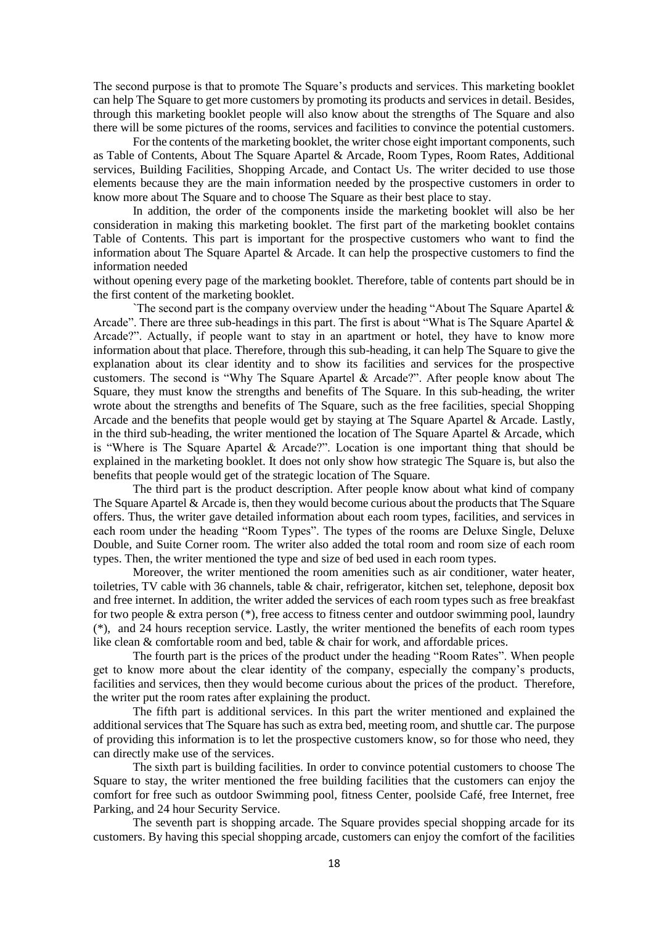The second purpose is that to promote The Square's products and services. This marketing booklet can help The Square to get more customers by promoting its products and services in detail. Besides, through this marketing booklet people will also know about the strengths of The Square and also there will be some pictures of the rooms, services and facilities to convince the potential customers.

For the contents of the marketing booklet, the writer chose eight important components, such as Table of Contents, About The Square Apartel & Arcade, Room Types, Room Rates, Additional services, Building Facilities, Shopping Arcade, and Contact Us. The writer decided to use those elements because they are the main information needed by the prospective customers in order to know more about The Square and to choose The Square as their best place to stay.

In addition, the order of the components inside the marketing booklet will also be her consideration in making this marketing booklet. The first part of the marketing booklet contains Table of Contents. This part is important for the prospective customers who want to find the information about The Square Apartel & Arcade. It can help the prospective customers to find the information needed

without opening every page of the marketing booklet. Therefore, table of contents part should be in the first content of the marketing booklet.

The second part is the company overview under the heading "About The Square Apartel  $\&$ Arcade". There are three sub-headings in this part. The first is about "What is The Square Apartel  $\&$ Arcade?". Actually, if people want to stay in an apartment or hotel, they have to know more information about that place. Therefore, through this sub-heading, it can help The Square to give the explanation about its clear identity and to show its facilities and services for the prospective customers. The second is "Why The Square Apartel & Arcade?". After people know about The Square, they must know the strengths and benefits of The Square. In this sub-heading, the writer wrote about the strengths and benefits of The Square, such as the free facilities, special Shopping Arcade and the benefits that people would get by staying at The Square Apartel & Arcade. Lastly, in the third sub-heading, the writer mentioned the location of The Square Apartel & Arcade, which is "Where is The Square Apartel & Arcade?". Location is one important thing that should be explained in the marketing booklet. It does not only show how strategic The Square is, but also the benefits that people would get of the strategic location of The Square.

The third part is the product description. After people know about what kind of company The Square Apartel & Arcade is, then they would become curious about the products that The Square offers. Thus, the writer gave detailed information about each room types, facilities, and services in each room under the heading "Room Types". The types of the rooms are Deluxe Single, Deluxe Double, and Suite Corner room. The writer also added the total room and room size of each room types. Then, the writer mentioned the type and size of bed used in each room types.

Moreover, the writer mentioned the room amenities such as air conditioner, water heater, toiletries, TV cable with 36 channels, table & chair, refrigerator, kitchen set, telephone, deposit box and free internet. In addition, the writer added the services of each room types such as free breakfast for two people  $\&$  extra person  $(*)$ , free access to fitness center and outdoor swimming pool, laundry (\*), and 24 hours reception service. Lastly, the writer mentioned the benefits of each room types like clean & comfortable room and bed, table & chair for work, and affordable prices.

The fourth part is the prices of the product under the heading "Room Rates". When people get to know more about the clear identity of the company, especially the company's products, facilities and services, then they would become curious about the prices of the product. Therefore, the writer put the room rates after explaining the product.

The fifth part is additional services. In this part the writer mentioned and explained the additional services that The Square has such as extra bed, meeting room, and shuttle car. The purpose of providing this information is to let the prospective customers know, so for those who need, they can directly make use of the services.

The sixth part is building facilities. In order to convince potential customers to choose The Square to stay, the writer mentioned the free building facilities that the customers can enjoy the comfort for free such as outdoor Swimming pool, fitness Center, poolside Café, free Internet, free Parking, and 24 hour Security Service.

The seventh part is shopping arcade. The Square provides special shopping arcade for its customers. By having this special shopping arcade, customers can enjoy the comfort of the facilities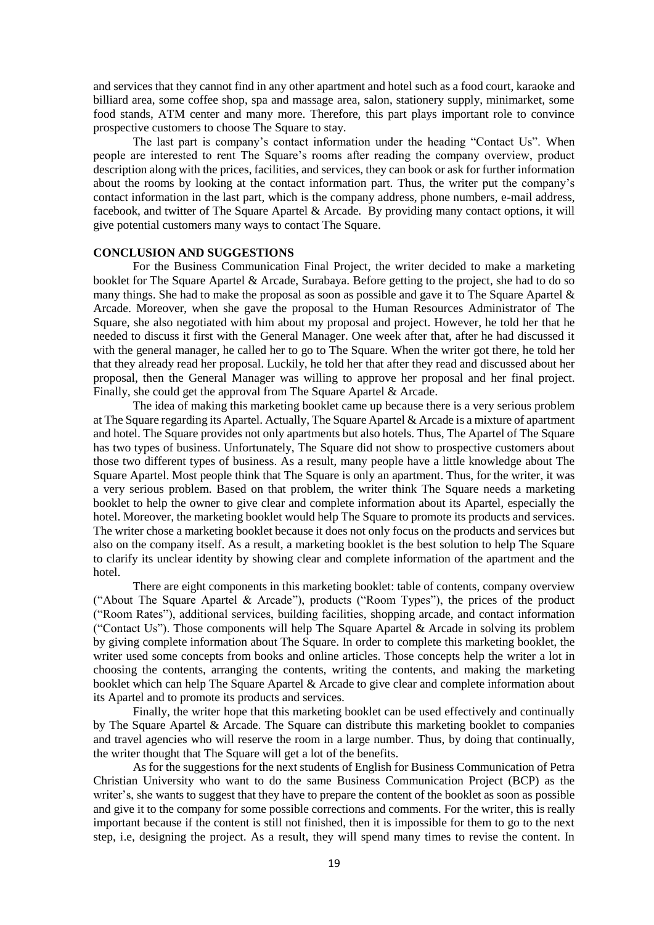and services that they cannot find in any other apartment and hotel such as a food court, karaoke and billiard area, some coffee shop, spa and massage area, salon, stationery supply, minimarket, some food stands, ATM center and many more. Therefore, this part plays important role to convince prospective customers to choose The Square to stay.

The last part is company's contact information under the heading "Contact Us". When people are interested to rent The Square's rooms after reading the company overview, product description along with the prices, facilities, and services, they can book or ask for further information about the rooms by looking at the contact information part. Thus, the writer put the company's contact information in the last part, which is the company address, phone numbers, e-mail address, facebook, and twitter of The Square Apartel & Arcade. By providing many contact options, it will give potential customers many ways to contact The Square.

### **CONCLUSION AND SUGGESTIONS**

For the Business Communication Final Project, the writer decided to make a marketing booklet for The Square Apartel & Arcade, Surabaya. Before getting to the project, she had to do so many things. She had to make the proposal as soon as possible and gave it to The Square Apartel & Arcade. Moreover, when she gave the proposal to the Human Resources Administrator of The Square, she also negotiated with him about my proposal and project. However, he told her that he needed to discuss it first with the General Manager. One week after that, after he had discussed it with the general manager, he called her to go to The Square. When the writer got there, he told her that they already read her proposal. Luckily, he told her that after they read and discussed about her proposal, then the General Manager was willing to approve her proposal and her final project. Finally, she could get the approval from The Square Apartel & Arcade.

The idea of making this marketing booklet came up because there is a very serious problem at The Square regarding its Apartel. Actually, The Square Apartel & Arcade is a mixture of apartment and hotel. The Square provides not only apartments but also hotels. Thus, The Apartel of The Square has two types of business. Unfortunately, The Square did not show to prospective customers about those two different types of business. As a result, many people have a little knowledge about The Square Apartel. Most people think that The Square is only an apartment. Thus, for the writer, it was a very serious problem. Based on that problem, the writer think The Square needs a marketing booklet to help the owner to give clear and complete information about its Apartel, especially the hotel. Moreover, the marketing booklet would help The Square to promote its products and services. The writer chose a marketing booklet because it does not only focus on the products and services but also on the company itself. As a result, a marketing booklet is the best solution to help The Square to clarify its unclear identity by showing clear and complete information of the apartment and the hotel.

There are eight components in this marketing booklet: table of contents, company overview ("About The Square Apartel & Arcade"), products ("Room Types"), the prices of the product ("Room Rates"), additional services, building facilities, shopping arcade, and contact information ("Contact Us"). Those components will help The Square Apartel & Arcade in solving its problem by giving complete information about The Square. In order to complete this marketing booklet, the writer used some concepts from books and online articles. Those concepts help the writer a lot in choosing the contents, arranging the contents, writing the contents, and making the marketing booklet which can help The Square Apartel & Arcade to give clear and complete information about its Apartel and to promote its products and services.

Finally, the writer hope that this marketing booklet can be used effectively and continually by The Square Apartel & Arcade. The Square can distribute this marketing booklet to companies and travel agencies who will reserve the room in a large number. Thus, by doing that continually, the writer thought that The Square will get a lot of the benefits.

As for the suggestions for the next students of English for Business Communication of Petra Christian University who want to do the same Business Communication Project (BCP) as the writer's, she wants to suggest that they have to prepare the content of the booklet as soon as possible and give it to the company for some possible corrections and comments. For the writer, this is really important because if the content is still not finished, then it is impossible for them to go to the next step, i.e, designing the project. As a result, they will spend many times to revise the content. In